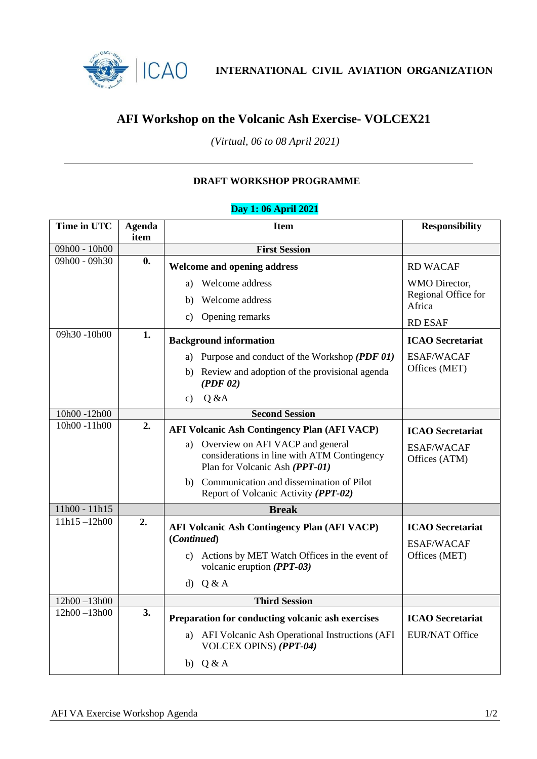

**INTERNATIONAL CIVIL AVIATION ORGANIZATION**

## **AFI Workshop on the Volcanic Ash Exercise- VOLCEX21**

*(Virtual, 06 to 08 April 2021)*

### **DRAFT WORKSHOP PROGRAMME**

#### **Time in UTC Agenda item Item Responsibility** 09h00 - 10h00 **First Session** 09h00 - 09h30 **0. Welcome and opening address** a) Welcome address b) Welcome address c) Opening remarks RD WACAF WMO Director, Regional Office for Africa RD ESAF 09h30 -10h00 **1. Background information** a) Purpose and conduct of the Workshop *(PDF 01)* b) Review and adoption of the provisional agenda *(PDF 02)* c)  $Q & A$ **ICAO Secretariat** ESAF/WACAF Offices (MET) 10h00 -12h00 **Second Session** 10h00 -11h00 **2. AFI Volcanic Ash Contingency Plan (AFI VACP)** a) Overview on AFI VACP and general considerations in line with ATM Contingency Plan for Volcanic Ash *(PPT-01)* b) Communication and dissemination of Pilot Report of Volcanic Activity *(PPT-02)* **ICAO Secretariat** ESAF/WACAF Offices (ATM) 11h00 - 11h15 **Break** 11h15 –12h00 **2. AFI Volcanic Ash Contingency Plan (AFI VACP) (***Continued***)** c) Actions by MET Watch Offices in the event of volcanic eruption *(PPT-03)* d) Q & A **ICAO Secretariat** ESAF/WACAF Offices (MET) 12h00 –13h00 **Third Session** 12h00 –13h00 **3. Preparation for conducting volcanic ash exercises** a) AFI Volcanic Ash Operational Instructions (AFI VOLCEX OPINS) *(PPT-04)* b) Q & A **ICAO Secretariat** EUR/NAT Office

#### **Day 1: 06 April 2021**